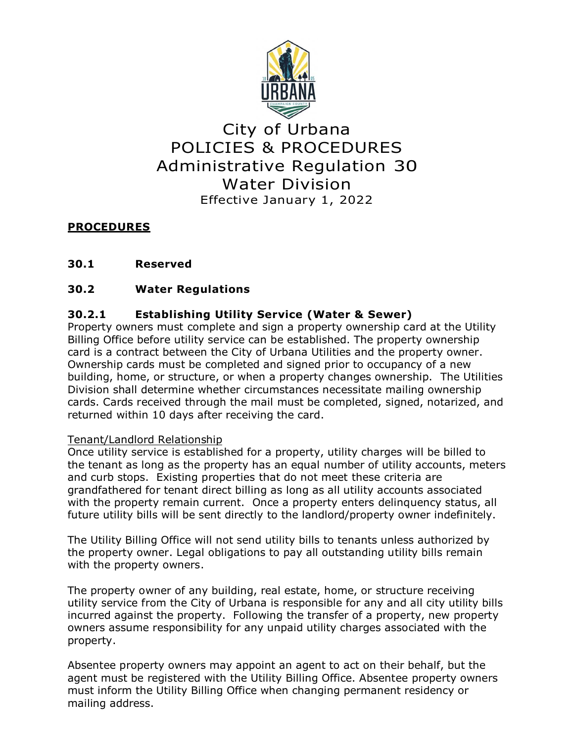

# City of Urbana POLICIES & PROCEDURES Administrative Regulation 30 Water Division Effective January 1, 2022

# **PROCEDURES**

# **30.1 Reserved**

# **30.2 Water Regulations**

# **30.2.1 Establishing Utility Service (Water & Sewer)**

Property owners must complete and sign a property ownership card at the Utility Billing Office before utility service can be established. The property ownership card is a contract between the City of Urbana Utilities and the property owner. Ownership cards must be completed and signed prior to occupancy of a new building, home, or structure, or when a property changes ownership. The Utilities Division shall determine whether circumstances necessitate mailing ownership cards. Cards received through the mail must be completed, signed, notarized, and returned within 10 days after receiving the card.

# Tenant/Landlord Relationship

Once utility service is established for a property, utility charges will be billed to the tenant as long as the property has an equal number of utility accounts, meters and curb stops. Existing properties that do not meet these criteria are grandfathered for tenant direct billing as long as all utility accounts associated with the property remain current. Once a property enters delinquency status, all future utility bills will be sent directly to the landlord/property owner indefinitely.

The Utility Billing Office will not send utility bills to tenants unless authorized by the property owner. Legal obligations to pay all outstanding utility bills remain with the property owners.

The property owner of any building, real estate, home, or structure receiving utility service from the City of Urbana is responsible for any and all city utility bills incurred against the property. Following the transfer of a property, new property owners assume responsibility for any unpaid utility charges associated with the property.

Absentee property owners may appoint an agent to act on their behalf, but the agent must be registered with the Utility Billing Office. Absentee property owners must inform the Utility Billing Office when changing permanent residency or mailing address.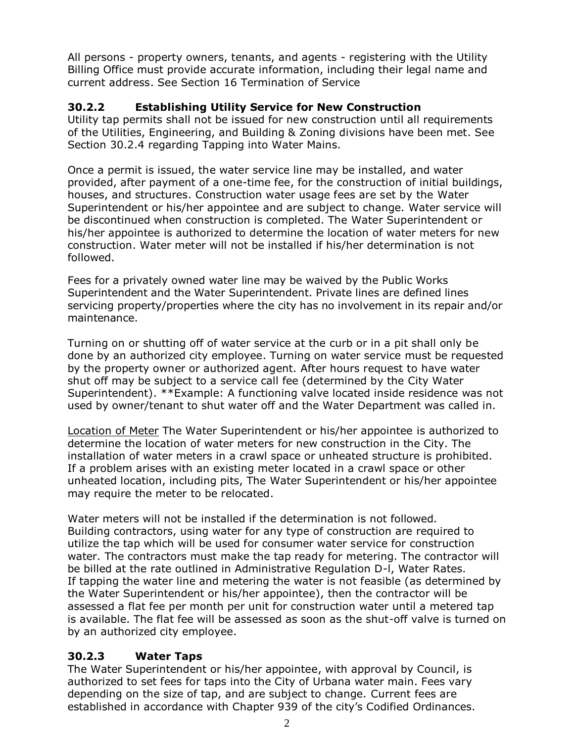All persons - property owners, tenants, and agents - registering with the Utility Billing Office must provide accurate information, including their legal name and current address. See Section 16 Termination of Service

# **30.2.2 Establishing Utility Service for New Construction**

Utility tap permits shall not be issued for new construction until all requirements of the Utilities, Engineering, and Building & Zoning divisions have been met. See Section 30.2.4 regarding Tapping into Water Mains.

Once a permit is issued, the water service line may be installed, and water provided, after payment of a one-time fee, for the construction of initial buildings, houses, and structures. Construction water usage fees are set by the Water Superintendent or his/her appointee and are subject to change. Water service will be discontinued when construction is completed. The Water Superintendent or his/her appointee is authorized to determine the location of water meters for new construction. Water meter will not be installed if his/her determination is not followed.

Fees for a privately owned water line may be waived by the Public Works Superintendent and the Water Superintendent. Private lines are defined lines servicing property/properties where the city has no involvement in its repair and/or maintenance.

Turning on or shutting off of water service at the curb or in a pit shall only be done by an authorized city employee. Turning on water service must be requested by the property owner or authorized agent. After hours request to have water shut off may be subject to a service call fee (determined by the City Water Superintendent). \*\*Example: A functioning valve located inside residence was not used by owner/tenant to shut water off and the Water Department was called in.

Location of Meter The Water Superintendent or his/her appointee is authorized to determine the location of water meters for new construction in the City. The installation of water meters in a crawl space or unheated structure is prohibited. If a problem arises with an existing meter located in a crawl space or other unheated location, including pits, The Water Superintendent or his/her appointee may require the meter to be relocated.

Water meters will not be installed if the determination is not followed. Building contractors, using water for any type of construction are required to utilize the tap which will be used for consumer water service for construction water. The contractors must make the tap ready for metering. The contractor will be billed at the rate outlined in Administrative Regulation D-l, Water Rates. If tapping the water line and metering the water is not feasible (as determined by the Water Superintendent or his/her appointee), then the contractor will be assessed a flat fee per month per unit for construction water until a metered tap is available. The flat fee will be assessed as soon as the shut-off valve is turned on by an authorized city employee.

# **30.2.3 Water Taps**

The Water Superintendent or his/her appointee, with approval by Council, is authorized to set fees for taps into the City of Urbana water main. Fees vary depending on the size of tap, and are subject to change. Current fees are established in accordance with Chapter 939 of the city's Codified Ordinances.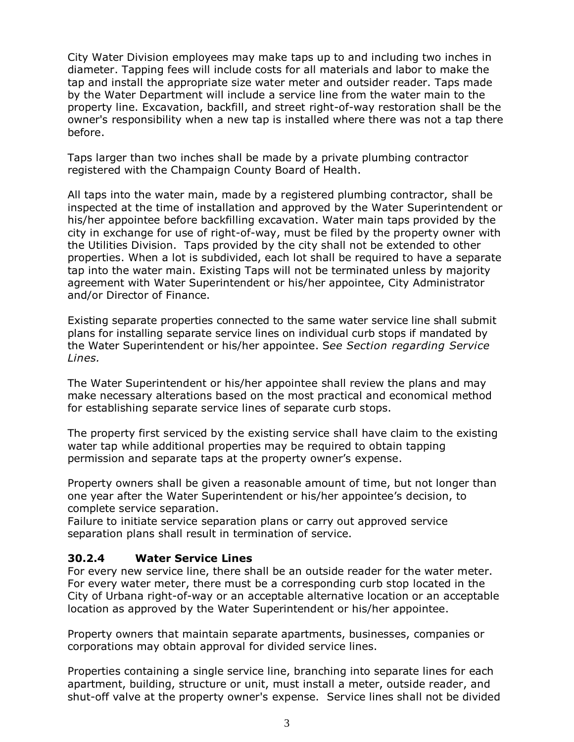City Water Division employees may make taps up to and including two inches in diameter. Tapping fees will include costs for all materials and labor to make the tap and install the appropriate size water meter and outsider reader. Taps made by the Water Department will include a service line from the water main to the property line. Excavation, backfill, and street right-of-way restoration shall be the owner's responsibility when a new tap is installed where there was not a tap there before.

Taps larger than two inches shall be made by a private plumbing contractor registered with the Champaign County Board of Health.

All taps into the water main, made by a registered plumbing contractor, shall be inspected at the time of installation and approved by the Water Superintendent or his/her appointee before backfilling excavation. Water main taps provided by the city in exchange for use of right-of-way, must be filed by the property owner with the Utilities Division. Taps provided by the city shall not be extended to other properties. When a lot is subdivided, each lot shall be required to have a separate tap into the water main. Existing Taps will not be terminated unless by majority agreement with Water Superintendent or his/her appointee, City Administrator and/or Director of Finance.

Existing separate properties connected to the same water service line shall submit plans for installing separate service lines on individual curb stops if mandated by the Water Superintendent or his/her appointee. S*ee Section regarding Service Lines.*

The Water Superintendent or his/her appointee shall review the plans and may make necessary alterations based on the most practical and economical method for establishing separate service lines of separate curb stops.

The property first serviced by the existing service shall have claim to the existing water tap while additional properties may be required to obtain tapping permission and separate taps at the property owner's expense.

Property owners shall be given a reasonable amount of time, but not longer than one year after the Water Superintendent or his/her appointee's decision, to complete service separation.

Failure to initiate service separation plans or carry out approved service separation plans shall result in termination of service.

#### **30.2.4 Water Service Lines**

For every new service line, there shall be an outside reader for the water meter. For every water meter, there must be a corresponding curb stop located in the City of Urbana right-of-way or an acceptable alternative location or an acceptable location as approved by the Water Superintendent or his/her appointee.

Property owners that maintain separate apartments, businesses, companies or corporations may obtain approval for divided service lines.

Properties containing a single service line, branching into separate lines for each apartment, building, structure or unit, must install a meter, outside reader, and shut-off valve at the property owner's expense. Service lines shall not be divided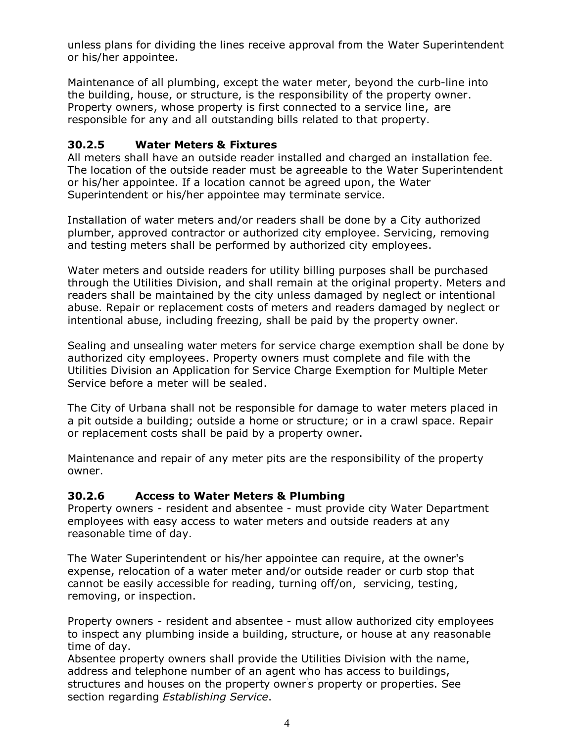unless plans for dividing the lines receive approval from the Water Superintendent or his/her appointee.

Maintenance of all plumbing, except the water meter, beyond the curb-line into the building, house, or structure, is the responsibility of the property owner. Property owners, whose property is first connected to a service line, are responsible for any and all outstanding bills related to that property.

### **30.2.5 Water Meters & Fixtures**

All meters shall have an outside reader installed and charged an installation fee. The location of the outside reader must be agreeable to the Water Superintendent or his/her appointee. If a location cannot be agreed upon, the Water Superintendent or his/her appointee may terminate service.

Installation of water meters and/or readers shall be done by a City authorized plumber, approved contractor or authorized city employee. Servicing, removing and testing meters shall be performed by authorized city employees.

Water meters and outside readers for utility billing purposes shall be purchased through the Utilities Division, and shall remain at the original property. Meters and readers shall be maintained by the city unless damaged by neglect or intentional abuse. Repair or replacement costs of meters and readers damaged by neglect or intentional abuse, including freezing, shall be paid by the property owner.

Sealing and unsealing water meters for service charge exemption shall be done by authorized city employees. Property owners must complete and file with the Utilities Division an Application for Service Charge Exemption for Multiple Meter Service before a meter will be sealed.

The City of Urbana shall not be responsible for damage to water meters placed in a pit outside a building; outside a home or structure; or in a crawl space. Repair or replacement costs shall be paid by a property owner.

Maintenance and repair of any meter pits are the responsibility of the property owner.

#### **30.2.6 Access to Water Meters & Plumbing**

Property owners - resident and absentee - must provide city Water Department employees with easy access to water meters and outside readers at any reasonable time of day.

The Water Superintendent or his/her appointee can require, at the owner's expense, relocation of a water meter and/or outside reader or curb stop that cannot be easily accessible for reading, turning off/on, servicing, testing, removing, or inspection.

Property owners - resident and absentee - must allow authorized city employees to inspect any plumbing inside a building, structure, or house at any reasonable time of day.

Absentee property owners shall provide the Utilities Division with the name, address and telephone number of an agent who has access to buildings, structures and houses on the property owner' s property or properties. See section regarding *Establishing Service*.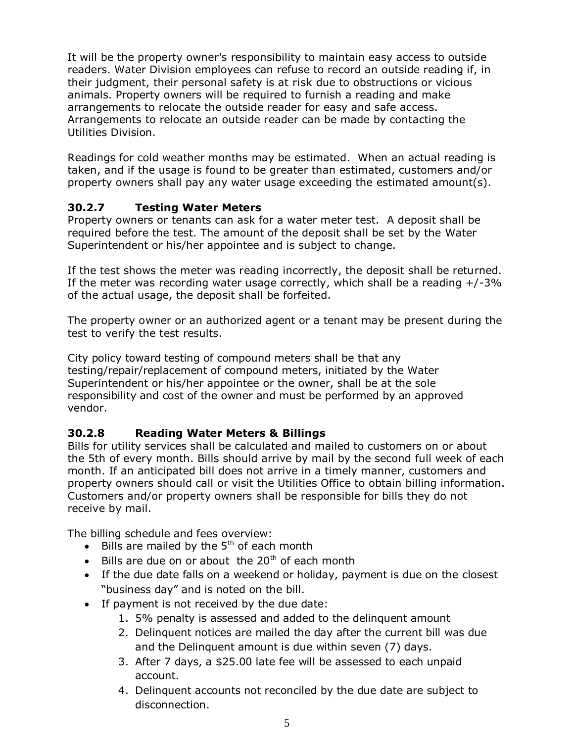It will be the property owner's responsibility to maintain easy access to outside readers. Water Division employees can refuse to record an outside reading if, in their judgment, their personal safety is at risk due to obstructions or vicious animals. Property owners will be required to furnish a reading and make arrangements to relocate the outside reader for easy and safe access. Arrangements to relocate an outside reader can be made by contacting the Utilities Division.

Readings for cold weather months may be estimated. When an actual reading is taken, and if the usage is found to be greater than estimated, customers and/or property owners shall pay any water usage exceeding the estimated amount(s).

# **30.2.7 Testing Water Meters**

Property owners or tenants can ask for a water meter test. A deposit shall be required before the test. The amount of the deposit shall be set by the Water Superintendent or his/her appointee and is subject to change.

If the test shows the meter was reading incorrectly, the deposit shall be returned. If the meter was recording water usage correctly, which shall be a reading  $+/-3\%$ of the actual usage, the deposit shall be forfeited.

The property owner or an authorized agent or a tenant may be present during the test to verify the test results.

City policy toward testing of compound meters shall be that any testing/repair/replacement of compound meters, initiated by the Water Superintendent or his/her appointee or the owner, shall be at the sole responsibility and cost of the owner and must be performed by an approved vendor.

# **30.2.8 Reading Water Meters & Billings**

Bills for utility services shall be calculated and mailed to customers on or about the 5th of every month. Bills should arrive by mail by the second full week of each month. If an anticipated bill does not arrive in a timely manner, customers and property owners should call or visit the Utilities Office to obtain billing information. Customers and/or property owners shall be responsible for bills they do not receive by mail.

The billing schedule and fees overview:

- $\bullet$  Bills are mailed by the 5<sup>th</sup> of each month
- $\bullet$  Bills are due on or about the 20<sup>th</sup> of each month
- If the due date falls on a weekend or holiday, payment is due on the closest "business day" and is noted on the bill.
- If payment is not received by the due date:
	- 1. 5% penalty is assessed and added to the delinquent amount
	- 2. Delinquent notices are mailed the day after the current bill was due and the Delinquent amount is due within seven (7) days.
	- 3. After 7 days, a \$25.00 late fee will be assessed to each unpaid account.
	- 4. Delinquent accounts not reconciled by the due date are subject to disconnection.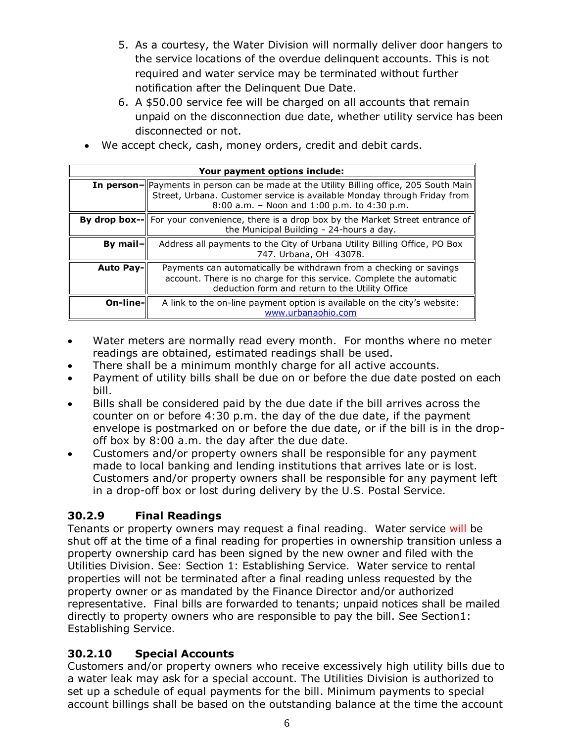- 5. As a courtesy, the Water Division will normally deliver door hangers to the service locations of the overdue delinquent accounts. This is not required and water service may be terminated without further notification after the Delinquent Due Date.
- 6. A \$50.00 service fee will be charged on all accounts that remain unpaid on the disconnection due date, whether utility service has been disconnected or not.
- We accept check, cash, money orders, credit and debit cards.

| Your payment options include: |                                                                                                                                                                                                                              |
|-------------------------------|------------------------------------------------------------------------------------------------------------------------------------------------------------------------------------------------------------------------------|
|                               | <b>In person-</b>   Payments in person can be made at the Utility Billing office, 205 South Main <br>Street, Urbana. Customer service is available Monday through Friday from<br>8:00 a.m. - Noon and 1:00 p.m. to 4:30 p.m. |
|                               | <b>By drop box--</b> For your convenience, there is a drop box by the Market Street entrance of<br>the Municipal Building - 24-hours a day.                                                                                  |
| By mail-                      | Address all payments to the City of Urbana Utility Billing Office, PO Box<br>747. Urbana, OH 43078.                                                                                                                          |
| <b>Auto Pay-</b>              | Payments can automatically be withdrawn from a checking or savings<br>account. There is no charge for this service. Complete the automatic<br>deduction form and return to the Utility Office                                |
| On-line-                      | A link to the on-line payment option is available on the city's website:<br>www.urbanaohio.com                                                                                                                               |

- Water meters are normally read every month. For months where no meter readings are obtained, estimated readings shall be used.
- There shall be a minimum monthly charge for all active accounts.
- Payment of utility bills shall be due on or before the due date posted on each bill.
- Bills shall be considered paid by the due date if the bill arrives across the counter on or before 4:30 p.m. the day of the due date, if the payment envelope is postmarked on or before the due date, or if the bill is in the dropoff box by 8:00 a.m. the day after the due date.
- Customers and/or property owners shall be responsible for any payment made to local banking and lending institutions that arrives late or is lost. Customers and/or property owners shall be responsible for any payment left in a drop-off box or lost during delivery by the U.S. Postal Service.

# **30.2.9 Final Readings**

Tenants or property owners may request a final reading. Water service will be shut off at the time of a final reading for properties in ownership transition unless a property ownership card has been signed by the new owner and filed with the Utilities Division. See: Section 1: Establishing Service. Water service to rental properties will not be terminated after a final reading unless requested by the property owner or as mandated by the Finance Director and/or authorized representative. Final bills are forwarded to tenants; unpaid notices shall be mailed directly to property owners who are responsible to pay the bill. See Section1: Establishing Service.

# **30.2.10 Special Accounts**

Customers and/or property owners who receive excessively high utility bills due to a water leak may ask for a special account. The Utilities Division is authorized to set up a schedule of equal payments for the bill. Minimum payments to special account billings shall be based on the outstanding balance at the time the account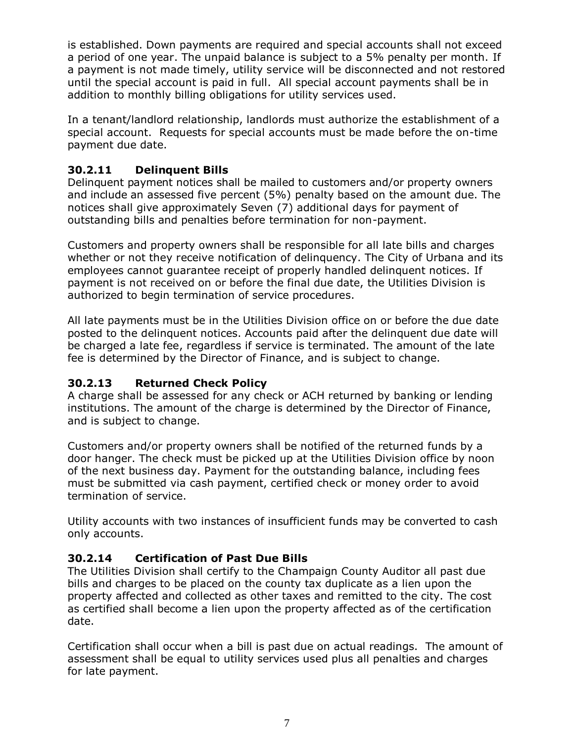is established. Down payments are required and special accounts shall not exceed a period of one year. The unpaid balance is subject to a 5% penalty per month. If a payment is not made timely, utility service will be disconnected and not restored until the special account is paid in full. All special account payments shall be in addition to monthly billing obligations for utility services used.

In a tenant/landlord relationship, landlords must authorize the establishment of a special account. Requests for special accounts must be made before the on-time payment due date.

# **30.2.11 Delinquent Bills**

Delinquent payment notices shall be mailed to customers and/or property owners and include an assessed five percent (5%) penalty based on the amount due. The notices shall give approximately Seven (7) additional days for payment of outstanding bills and penalties before termination for non-payment.

Customers and property owners shall be responsible for all late bills and charges whether or not they receive notification of delinquency. The City of Urbana and its employees cannot guarantee receipt of properly handled delinquent notices. If payment is not received on or before the final due date, the Utilities Division is authorized to begin termination of service procedures.

All late payments must be in the Utilities Division office on or before the due date posted to the delinquent notices. Accounts paid after the delinquent due date will be charged a late fee, regardless if service is terminated. The amount of the late fee is determined by the Director of Finance, and is subject to change.

# **30.2.13 Returned Check Policy**

A charge shall be assessed for any check or ACH returned by banking or lending institutions. The amount of the charge is determined by the Director of Finance, and is subject to change.

Customers and/or property owners shall be notified of the returned funds by a door hanger. The check must be picked up at the Utilities Division office by noon of the next business day. Payment for the outstanding balance, including fees must be submitted via cash payment, certified check or money order to avoid termination of service.

Utility accounts with two instances of insufficient funds may be converted to cash only accounts.

# **30.2.14 Certification of Past Due Bills**

The Utilities Division shall certify to the Champaign County Auditor all past due bills and charges to be placed on the county tax duplicate as a lien upon the property affected and collected as other taxes and remitted to the city. The cost as certified shall become a lien upon the property affected as of the certification date.

Certification shall occur when a bill is past due on actual readings. The amount of assessment shall be equal to utility services used plus all penalties and charges for late payment.